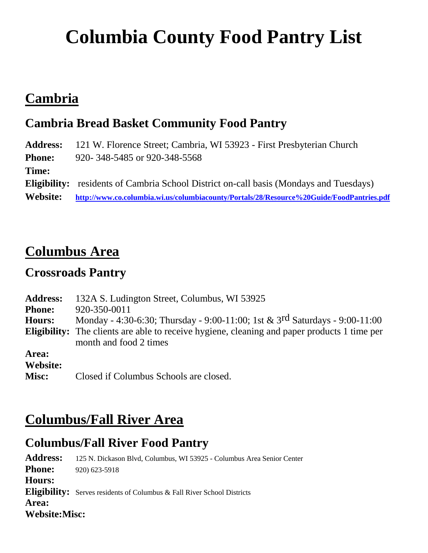# **Columbia County Food Pantry List**

## **Cambria**

#### **Cambria Bread Basket Community Food Pantry**

**Address:** 121 W. Florence Street; Cambria, WI 53923 - First Presbyterian Church **Phone:** 920- 348-5485 or 920-348-5568 **Time: Eligibility:** residents of Cambria School District on-call basis (Mondays and Tuesdays) **Website: <http://www.co.columbia.wi.us/columbiacounty/Portals/28/Resource%20Guide/FoodPantries.pdf>**

## **Columbus Area**

#### **Crossroads Pantry**

| <b>Address:</b> | 132A S. Ludington Street, Columbus, WI 53925                                                                                  |
|-----------------|-------------------------------------------------------------------------------------------------------------------------------|
| <b>Phone:</b>   | 920-350-0011                                                                                                                  |
| <b>Hours:</b>   | Monday - 4:30-6:30; Thursday - 9:00-11:00; 1st & 3rd Saturdays - 9:00-11:00                                                   |
|                 | <b>Eligibility:</b> The clients are able to receive hygiene, cleaning and paper products 1 time per<br>month and food 2 times |
| Area:           |                                                                                                                               |
| Website:        |                                                                                                                               |
| Misc:           | Closed if Columbus Schools are closed.                                                                                        |

### **Columbus/Fall River Area**

#### **Columbus/Fall River Food Pantry**

**Address:** 125 N. Dickason Blvd, Columbus, WI 53925 - Columbus Area Senior Center **Phone:** 920) 623-5918 **Hours: Eligibility:** Serves residents of Columbus & Fall River School Districts **Area: Website:Misc:**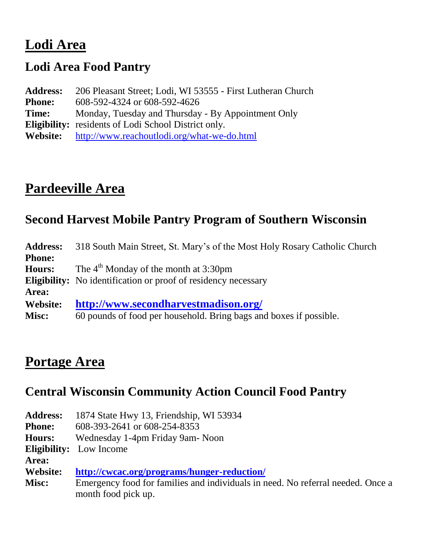## **Lodi Area**

#### **Lodi Area Food Pantry**

**Address:** 206 Pleasant Street; Lodi, WI 53555 - First Lutheran Church **Phone:** 608-592-4324 or 608-592-4626 **Time:** Monday, Tuesday and Thursday - By Appointment Only **Eligibility:** residents of Lodi School District only. **Website:** <http://www.reachoutlodi.org/what-we-do.html>

## **Pardeeville Area**

#### **Second Harvest Mobile Pantry Program of Southern Wisconsin**

| <b>Address:</b> | 318 South Main Street, St. Mary's of the Most Holy Rosary Catholic Church |
|-----------------|---------------------------------------------------------------------------|
| <b>Phone:</b>   |                                                                           |
| <b>Hours:</b>   | The $4th$ Monday of the month at 3:30pm                                   |
|                 | <b>Eligibility:</b> No identification or proof of residency necessary     |
| Area:           |                                                                           |
| <b>Website:</b> | http://www.secondharvestmadison.org/                                      |
| Misc:           | 60 pounds of food per household. Bring bags and boxes if possible.        |

#### **Portage Area**

#### **Central Wisconsin Community Action Council Food Pantry**

|                                                    | <b>Address:</b> 1874 State Hwy 13, Friendship, WI 53934 |
|----------------------------------------------------|---------------------------------------------------------|
| <b>Phone:</b>                                      | 608-393-2641 or 608-254-8353                            |
| $\mathbf{H}_{\alpha\rightarrow\alpha\alpha\alpha}$ | Wednesday 1 <i>Anne Enider Came</i> Nean                |

**Hours:** Wednesday 1-4pm Friday 9am- Noon

**Eligibility:** Low Income

**Area:**

**Website: <http://cwcac.org/programs/hunger-reduction/>**

**Misc:** Emergency food for families and individuals in need. No referral needed. Once a month food pick up.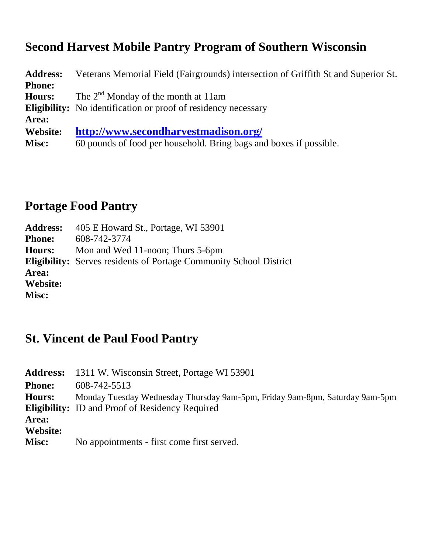#### **Second Harvest Mobile Pantry Program of Southern Wisconsin**

| <b>Address:</b> | Veterans Memorial Field (Fairgrounds) intersection of Griffith St and Superior St. |
|-----------------|------------------------------------------------------------------------------------|
| <b>Phone:</b>   |                                                                                    |
| <b>Hours:</b>   | The $2^{nd}$ Monday of the month at 11am                                           |
|                 | <b>Eligibility:</b> No identification or proof of residency necessary              |
| Area:           |                                                                                    |
| Website:        | http://www.secondharvestmadison.org/                                               |
| Misc:           | 60 pounds of food per household. Bring bags and boxes if possible.                 |
|                 |                                                                                    |

#### **Portage Food Pantry**

| <b>Eligibility:</b> Serves residents of Portage Community School District |
|---------------------------------------------------------------------------|
|                                                                           |
|                                                                           |
|                                                                           |
|                                                                           |

#### **St. Vincent de Paul Food Pantry**

|               | <b>Address:</b> 1311 W. Wisconsin Street, Portage WI 53901                  |
|---------------|-----------------------------------------------------------------------------|
| <b>Phone:</b> | 608-742-5513                                                                |
| <b>Hours:</b> | Monday Tuesday Wednesday Thursday 9am-5pm, Friday 9am-8pm, Saturday 9am-5pm |
|               | <b>Eligibility:</b> ID and Proof of Residency Required                      |
| Area:         |                                                                             |
| Website:      |                                                                             |
| Misc:         | No appointments - first come first served.                                  |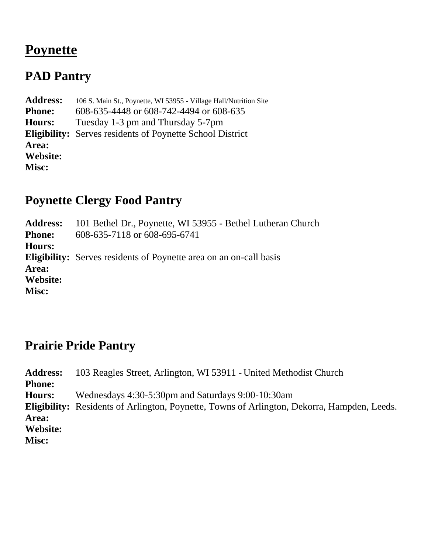## **Poynette**

#### **PAD Pantry**

**Address:** 106 S. Main St., Poynette, WI 53955 - Village Hall/Nutrition Site **Phone:** 608-635-4448 or 608-742-4494 or 608-635 **Hours:** Tuesday 1-3 pm and Thursday 5-7pm **Eligibility:** Serves residents of Poynette School District **Area: Website: Misc:**

#### **Poynette Clergy Food Pantry**

**Address:** 101 Bethel Dr., Poynette, WI 53955 - Bethel Lutheran Church **Phone:** 608-635-7118 or 608-695-6741 **Hours: Eligibility:** Serves residents of Poynette area on an on-call basis **Area: Website: Misc:**

#### **Prairie Pride Pantry**

**Address:** 103 Reagles Street, Arlington, WI 53911 - United Methodist Church **Phone: Hours:** Wednesdays 4:30-5:30pm and Saturdays 9:00-10:30am **Eligibility:** Residents of Arlington, Poynette, Towns of Arlington, Dekorra, Hampden, Leeds. **Area: Website: Misc:**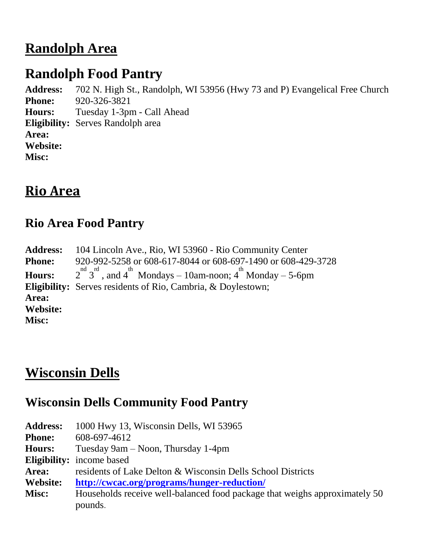## **Randolph Area**

## **Randolph Food Pantry**

**Address:** 702 N. High St., Randolph, WI 53956 (Hwy 73 and P) Evangelical Free Church **Phone:** 920-326-3821 **Hours:** Tuesday 1-3pm - Call Ahead **Eligibility:** Serves Randolph area **Area: Website: Misc:**

## **Rio Area**

#### **Rio Area Food Pantry**

**Address:** 104 Lincoln Ave., Rio, WI 53960 - Rio Community Center **Phone:** 920-992-5258 or 608-617-8044 or 608-697-1490 or 608-429-3728 **Hours:** 2  $\frac{1}{3}$  and  $4^{\text{th}}$  Mondays – 10am-noon;  $4^{\text{th}}$  Monday – 5-6pm **Eligibility:** Serves residents of Rio, Cambria, & Doylestown; **Area: Website: Misc:**

## **Wisconsin Dells**

#### **Wisconsin Dells Community Food Pantry**

**Address:** 1000 Hwy 13, Wisconsin Dells, WI 53965 **Phone:** 608-697-4612 **Hours:** Tuesday 9am – Noon, Thursday 1-4pm **Eligibility:** income based **Area:** residents of Lake Delton & Wisconsin Dells School Districts **Website: <http://cwcac.org/programs/hunger-reduction/> Misc:** Households receive well-balanced food package that weighs approximately 50 pounds.